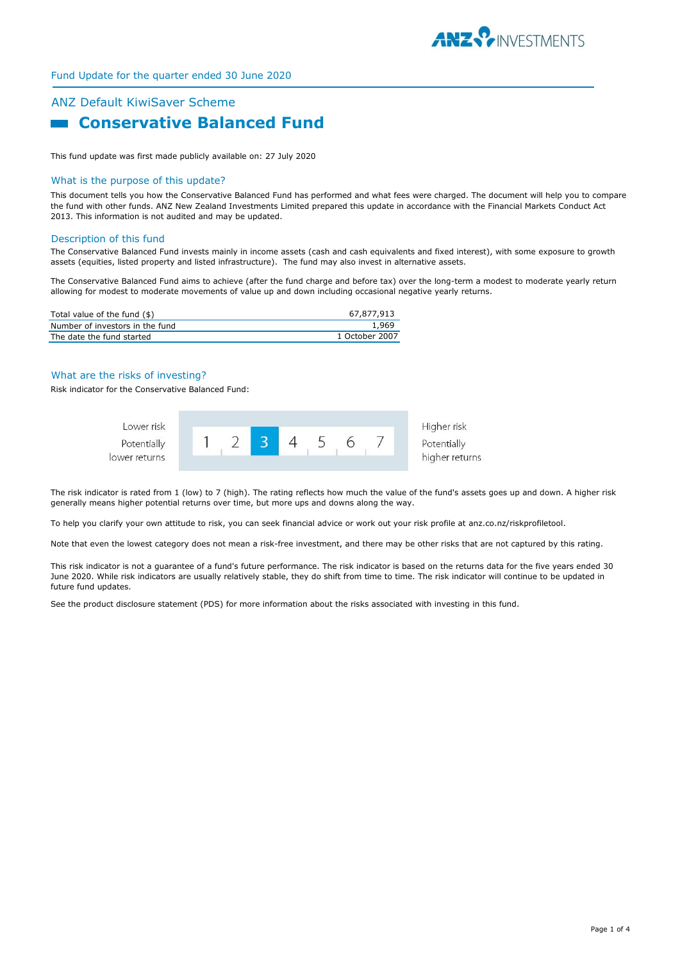

# Fund Update for the quarter ended 30 June 2020

# ANZ Default KiwiSaver Scheme **Example 2 Conservative Balanced Fund**

This fund update was first made publicly available on: 27 July 2020

#### What is the purpose of this update?

This document tells you how the Conservative Balanced Fund has performed and what fees were charged. The document will help you to compare the fund with other funds. ANZ New Zealand Investments Limited prepared this update in accordance with the Financial Markets Conduct Act 2013. This information is not audited and may be updated.

#### Description of this fund

The Conservative Balanced Fund invests mainly in income assets (cash and cash equivalents and fixed interest), with some exposure to growth assets (equities, listed property and listed infrastructure). The fund may also invest in alternative assets.

The Conservative Balanced Fund aims to achieve (after the fund charge and before tax) over the long-term a modest to moderate yearly return allowing for modest to moderate movements of value up and down including occasional negative yearly returns.

| Total value of the fund $(\$)$  | 67.877.913     |
|---------------------------------|----------------|
| Number of investors in the fund | 1.969          |
| The date the fund started       | 1 October 2007 |

#### What are the risks of investing?

Risk indicator for the Conservative Balanced Fund:



The risk indicator is rated from 1 (low) to 7 (high). The rating reflects how much the value of the fund's assets goes up and down. A higher risk generally means higher potential returns over time, but more ups and downs along the way.

To help you clarify your own attitude to risk, you can seek financial advice or work out your risk profile at anz.co.nz/riskprofiletool.

Note that even the lowest category does not mean a risk-free investment, and there may be other risks that are not captured by this rating.

This risk indicator is not a guarantee of a fund's future performance. The risk indicator is based on the returns data for the five years ended 30 June 2020. While risk indicators are usually relatively stable, they do shift from time to time. The risk indicator will continue to be updated in future fund updates.

See the product disclosure statement (PDS) for more information about the risks associated with investing in this fund.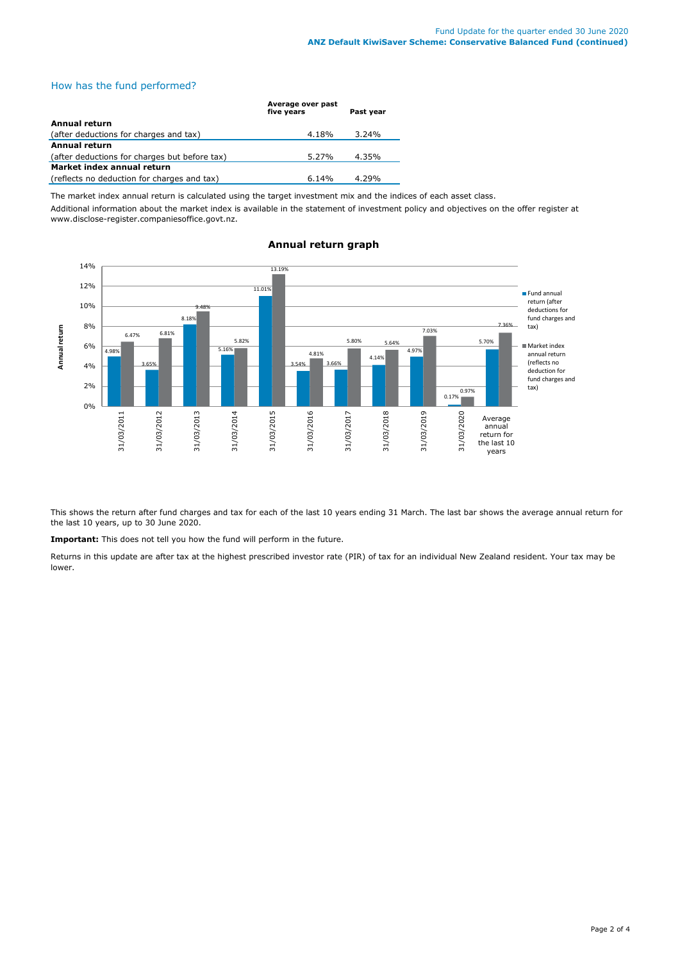# How has the fund performed?

|                                               | Average over past<br>five vears | Past year |
|-----------------------------------------------|---------------------------------|-----------|
| Annual return                                 |                                 |           |
| (after deductions for charges and tax)        | 4.18%                           | $3.24\%$  |
| <b>Annual return</b>                          |                                 |           |
| (after deductions for charges but before tax) | 5.27%                           | 4.35%     |
| Market index annual return                    |                                 |           |
| (reflects no deduction for charges and tax)   | $6.14\%$                        | 4.29%     |

The market index annual return is calculated using the target investment mix and the indices of each asset class.

Additional information about the market index is available in the statement of investment policy and objectives on the offer register at www.disclose-register.companiesoffice.govt.nz.



# **Annual return graph**

This shows the return after fund charges and tax for each of the last 10 years ending 31 March. The last bar shows the average annual return for the last 10 years, up to 30 June 2020.

**Important:** This does not tell you how the fund will perform in the future.

Returns in this update are after tax at the highest prescribed investor rate (PIR) of tax for an individual New Zealand resident. Your tax may be lower.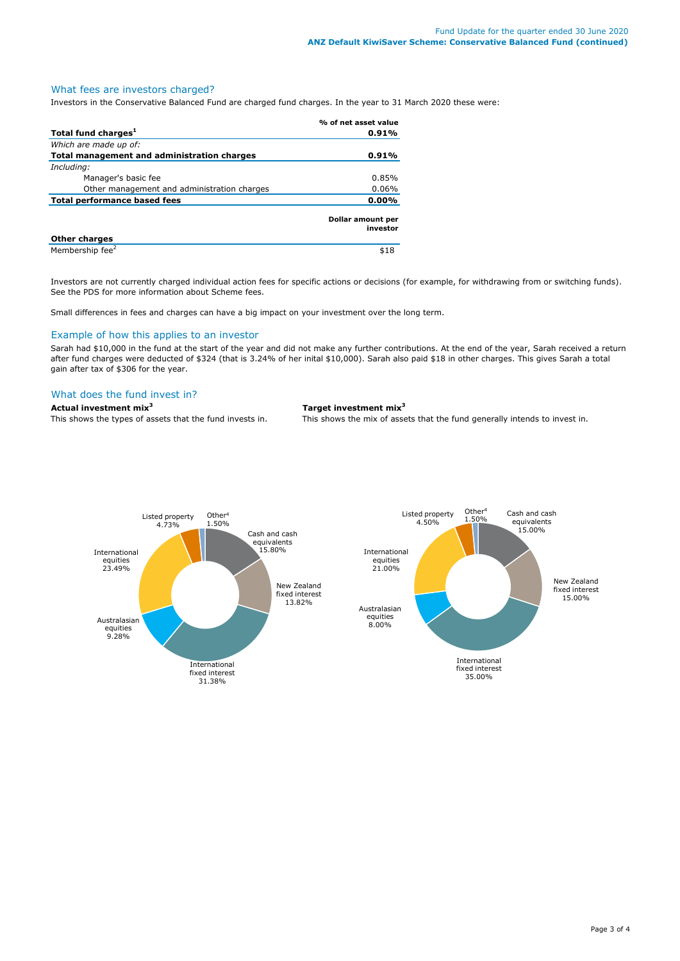## What fees are investors charged?

Investors in the Conservative Balanced Fund are charged fund charges. In the year to 31 March 2020 these were:

|                                             | % of net asset value          |
|---------------------------------------------|-------------------------------|
| Total fund charges <sup>1</sup>             | 0.91%                         |
| Which are made up of:                       |                               |
| Total management and administration charges | 0.91%                         |
| Including:                                  |                               |
| Manager's basic fee                         | 0.85%                         |
| Other management and administration charges | 0.06%                         |
| <b>Total performance based fees</b>         | $0.00\%$                      |
|                                             | Dollar amount per<br>investor |
| <b>Other charges</b>                        |                               |
| Membership fee <sup>2</sup>                 | \$18                          |

Investors are not currently charged individual action fees for specific actions or decisions (for example, for withdrawing from or switching funds). See the PDS for more information about Scheme fees.

Small differences in fees and charges can have a big impact on your investment over the long term.

#### Example of how this applies to an investor

Sarah had \$10,000 in the fund at the start of the year and did not make any further contributions. At the end of the year, Sarah received a return after fund charges were deducted of \$324 (that is 3.24% of her inital \$10,000). Sarah also paid \$18 in other charges. This gives Sarah a total gain after tax of \$306 for the year.

### What does the fund invest in?

**Actual investment mix<sup>3</sup> Target investment mix<sup>3</sup>**

This shows the types of assets that the fund invests in. This shows the mix of assets that the fund generally intends to invest in.